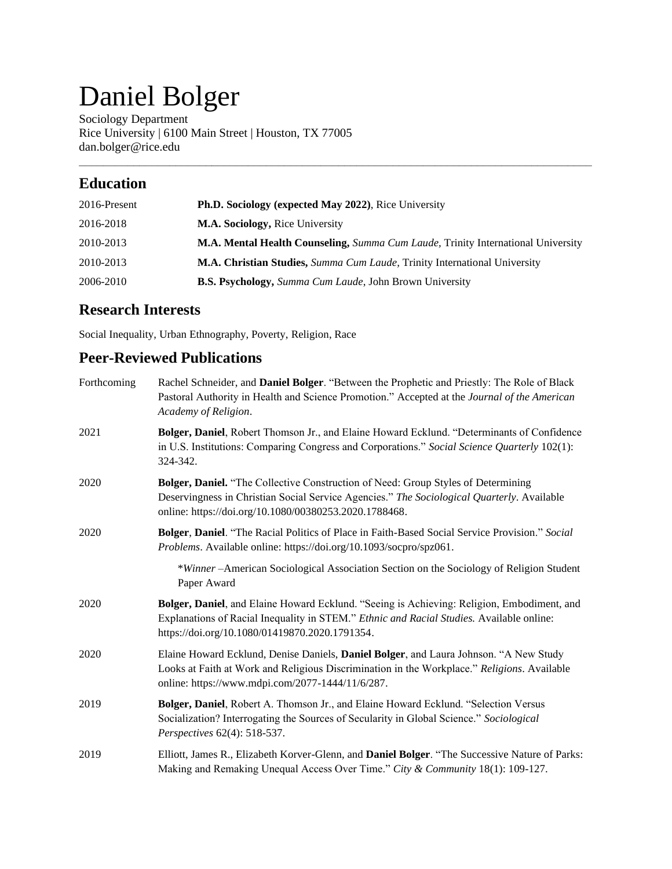# Daniel Bolger

Sociology Department Rice University | 6100 Main Street | Houston, TX 77005 dan.bolger@rice.edu

# **Education**

| 2016-Present | Ph.D. Sociology (expected May 2022), Rice University                             |
|--------------|----------------------------------------------------------------------------------|
| 2016-2018    | <b>M.A. Sociology, Rice University</b>                                           |
| 2010-2013    | M.A. Mental Health Counseling, Summa Cum Laude, Trinity International University |
| 2010-2013    | M.A. Christian Studies, Summa Cum Laude, Trinity International University        |
| 2006-2010    | <b>B.S. Psychology,</b> Summa Cum Laude, John Brown University                   |

\_\_\_\_\_\_\_\_\_\_\_\_\_\_\_\_\_\_\_\_\_\_\_\_\_\_\_\_\_\_\_\_\_\_\_\_\_\_\_\_\_\_\_\_\_\_\_\_\_\_\_\_\_\_\_\_\_\_\_\_\_\_\_\_\_\_\_\_\_\_\_\_\_\_\_\_\_\_\_\_\_\_\_\_\_

# **Research Interests**

Social Inequality, Urban Ethnography, Poverty, Religion, Race

# **Peer-Reviewed Publications**

| Forthcoming | Rachel Schneider, and Daniel Bolger. "Between the Prophetic and Priestly: The Role of Black<br>Pastoral Authority in Health and Science Promotion." Accepted at the Journal of the American<br>Academy of Religion.                       |
|-------------|-------------------------------------------------------------------------------------------------------------------------------------------------------------------------------------------------------------------------------------------|
| 2021        | Bolger, Daniel, Robert Thomson Jr., and Elaine Howard Ecklund. "Determinants of Confidence<br>in U.S. Institutions: Comparing Congress and Corporations." Social Science Quarterly 102(1):<br>324-342.                                    |
| 2020        | Bolger, Daniel. "The Collective Construction of Need: Group Styles of Determining<br>Deservingness in Christian Social Service Agencies." The Sociological Quarterly. Available<br>online: https://doi.org/10.1080/00380253.2020.1788468. |
| 2020        | Bolger, Daniel. "The Racial Politics of Place in Faith-Based Social Service Provision." Social<br>Problems. Available online: https://doi.org/10.1093/socpro/spz061.                                                                      |
|             | *Winner-American Sociological Association Section on the Sociology of Religion Student<br>Paper Award                                                                                                                                     |
| 2020        | Bolger, Daniel, and Elaine Howard Ecklund. "Seeing is Achieving: Religion, Embodiment, and<br>Explanations of Racial Inequality in STEM." Ethnic and Racial Studies. Available online:<br>https://doi.org/10.1080/01419870.2020.1791354.  |
| 2020        | Elaine Howard Ecklund, Denise Daniels, Daniel Bolger, and Laura Johnson. "A New Study<br>Looks at Faith at Work and Religious Discrimination in the Workplace." Religions. Available<br>online: https://www.mdpi.com/2077-1444/11/6/287.  |
| 2019        | Bolger, Daniel, Robert A. Thomson Jr., and Elaine Howard Ecklund. "Selection Versus<br>Socialization? Interrogating the Sources of Secularity in Global Science." Sociological<br>Perspectives 62(4): 518-537.                            |
| 2019        | Elliott, James R., Elizabeth Korver-Glenn, and Daniel Bolger. "The Successive Nature of Parks:<br>Making and Remaking Unequal Access Over Time." City & Community 18(1): 109-127.                                                         |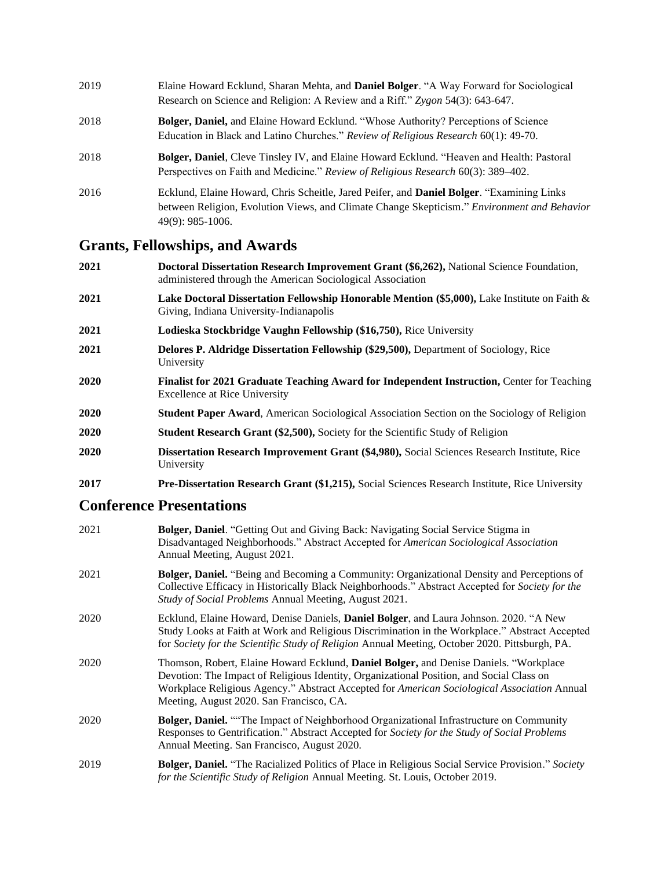| 2019 | Elaine Howard Ecklund, Sharan Mehta, and Daniel Bolger. "A Way Forward for Sociological<br>Research on Science and Religion: A Review and a Riff." Zygon 54(3): 643-647.                                              |
|------|-----------------------------------------------------------------------------------------------------------------------------------------------------------------------------------------------------------------------|
| 2018 | <b>Bolger, Daniel, and Elaine Howard Ecklund. "Whose Authority? Perceptions of Science</b><br>Education in Black and Latino Churches." Review of Religious Research 60(1): 49-70.                                     |
| 2018 | <b>Bolger, Daniel, Cleve Tinsley IV, and Elaine Howard Ecklund. "Heaven and Health: Pastoral</b><br>Perspectives on Faith and Medicine." Review of Religious Research 60(3): 389–402.                                 |
| 2016 | Ecklund, Elaine Howard, Chris Scheitle, Jared Peifer, and <b>Daniel Bolger</b> . "Examining Links"<br>between Religion, Evolution Views, and Climate Change Skepticism." Environment and Behavior<br>49(9): 985-1006. |

# **Grants, Fellowships, and Awards**

| 2021 | Doctoral Dissertation Research Improvement Grant (\$6,262), National Science Foundation,<br>administered through the American Sociological Association |
|------|--------------------------------------------------------------------------------------------------------------------------------------------------------|
| 2021 | <b>Lake Doctoral Dissertation Fellowship Honorable Mention (\$5,000), Lake Institute on Faith &amp;</b><br>Giving, Indiana University-Indianapolis     |
| 2021 | Lodieska Stockbridge Vaughn Fellowship (\$16,750), Rice University                                                                                     |
| 2021 | Delores P. Aldridge Dissertation Fellowship (\$29,500), Department of Sociology, Rice<br>University                                                    |
| 2020 | Finalist for 2021 Graduate Teaching Award for Independent Instruction, Center for Teaching<br><b>Excellence at Rice University</b>                     |
| 2020 | <b>Student Paper Award, American Sociological Association Section on the Sociology of Religion</b>                                                     |
| 2020 | <b>Student Research Grant (\$2,500), Society for the Scientific Study of Religion</b>                                                                  |
| 2020 | Dissertation Research Improvement Grant (\$4,980), Social Sciences Research Institute, Rice<br>University                                              |
| 2017 | <b>Pre-Dissertation Research Grant (\$1,215), Social Sciences Research Institute, Rice University</b>                                                  |

# **Conference Presentations**

| 2021 | Bolger, Daniel. "Getting Out and Giving Back: Navigating Social Service Stigma in<br>Disadvantaged Neighborhoods." Abstract Accepted for American Sociological Association<br>Annual Meeting, August 2021.                                                                                                                   |
|------|------------------------------------------------------------------------------------------------------------------------------------------------------------------------------------------------------------------------------------------------------------------------------------------------------------------------------|
| 2021 | Bolger, Daniel. "Being and Becoming a Community: Organizational Density and Perceptions of<br>Collective Efficacy in Historically Black Neighborhoods." Abstract Accepted for Society for the<br>Study of Social Problems Annual Meeting, August 2021.                                                                       |
| 2020 | Ecklund, Elaine Howard, Denise Daniels, Daniel Bolger, and Laura Johnson. 2020. "A New<br>Study Looks at Faith at Work and Religious Discrimination in the Workplace." Abstract Accepted<br>for Society for the Scientific Study of Religion Annual Meeting, October 2020. Pittsburgh, PA.                                   |
| 2020 | Thomson, Robert, Elaine Howard Ecklund, Daniel Bolger, and Denise Daniels. "Workplace<br>Devotion: The Impact of Religious Identity, Organizational Position, and Social Class on<br>Workplace Religious Agency." Abstract Accepted for American Sociological Association Annual<br>Meeting, August 2020. San Francisco, CA. |
| 2020 | Bolger, Daniel. "The Impact of Neighborhood Organizational Infrastructure on Community<br>Responses to Gentrification." Abstract Accepted for Society for the Study of Social Problems<br>Annual Meeting. San Francisco, August 2020.                                                                                        |
| 2019 | Bolger, Daniel. "The Racialized Politics of Place in Religious Social Service Provision." Society<br>for the Scientific Study of Religion Annual Meeting. St. Louis, October 2019.                                                                                                                                           |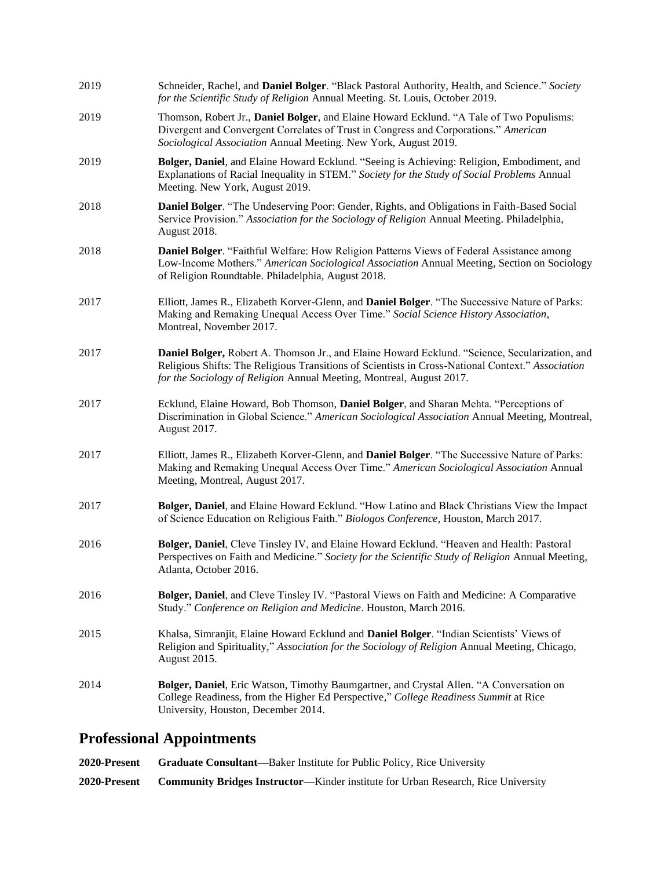| 2019 | Schneider, Rachel, and Daniel Bolger. "Black Pastoral Authority, Health, and Science." Society<br>for the Scientific Study of Religion Annual Meeting. St. Louis, October 2019.                                                                                             |
|------|-----------------------------------------------------------------------------------------------------------------------------------------------------------------------------------------------------------------------------------------------------------------------------|
| 2019 | Thomson, Robert Jr., Daniel Bolger, and Elaine Howard Ecklund. "A Tale of Two Populisms:<br>Divergent and Convergent Correlates of Trust in Congress and Corporations." American<br>Sociological Association Annual Meeting. New York, August 2019.                         |
| 2019 | Bolger, Daniel, and Elaine Howard Ecklund. "Seeing is Achieving: Religion, Embodiment, and<br>Explanations of Racial Inequality in STEM." Society for the Study of Social Problems Annual<br>Meeting. New York, August 2019.                                                |
| 2018 | Daniel Bolger. "The Undeserving Poor: Gender, Rights, and Obligations in Faith-Based Social<br>Service Provision." Association for the Sociology of Religion Annual Meeting. Philadelphia,<br>August 2018.                                                                  |
| 2018 | Daniel Bolger. "Faithful Welfare: How Religion Patterns Views of Federal Assistance among<br>Low-Income Mothers." American Sociological Association Annual Meeting, Section on Sociology<br>of Religion Roundtable. Philadelphia, August 2018.                              |
| 2017 | Elliott, James R., Elizabeth Korver-Glenn, and Daniel Bolger. "The Successive Nature of Parks:<br>Making and Remaking Unequal Access Over Time." Social Science History Association,<br>Montreal, November 2017.                                                            |
| 2017 | Daniel Bolger, Robert A. Thomson Jr., and Elaine Howard Ecklund. "Science, Secularization, and<br>Religious Shifts: The Religious Transitions of Scientists in Cross-National Context." Association<br>for the Sociology of Religion Annual Meeting, Montreal, August 2017. |
| 2017 | Ecklund, Elaine Howard, Bob Thomson, Daniel Bolger, and Sharan Mehta. "Perceptions of<br>Discrimination in Global Science." American Sociological Association Annual Meeting, Montreal,<br>August 2017.                                                                     |
| 2017 | Elliott, James R., Elizabeth Korver-Glenn, and Daniel Bolger. "The Successive Nature of Parks:<br>Making and Remaking Unequal Access Over Time." American Sociological Association Annual<br>Meeting, Montreal, August 2017.                                                |
| 2017 | Bolger, Daniel, and Elaine Howard Ecklund. "How Latino and Black Christians View the Impact<br>of Science Education on Religious Faith." Biologos Conference, Houston, March 2017.                                                                                          |
| 2016 | Bolger, Daniel, Cleve Tinsley IV, and Elaine Howard Ecklund. "Heaven and Health: Pastoral<br>Perspectives on Faith and Medicine." Society for the Scientific Study of Religion Annual Meeting,<br>Atlanta, October 2016.                                                    |
| 2016 | Bolger, Daniel, and Cleve Tinsley IV. "Pastoral Views on Faith and Medicine: A Comparative<br>Study." Conference on Religion and Medicine. Houston, March 2016.                                                                                                             |
| 2015 | Khalsa, Simranjit, Elaine Howard Ecklund and Daniel Bolger. "Indian Scientists' Views of<br>Religion and Spirituality," Association for the Sociology of Religion Annual Meeting, Chicago,<br><b>August 2015.</b>                                                           |
| 2014 | Bolger, Daniel, Eric Watson, Timothy Baumgartner, and Crystal Allen. "A Conversation on<br>College Readiness, from the Higher Ed Perspective," College Readiness Summit at Rice<br>University, Houston, December 2014.                                                      |

# **Professional Appointments**

**2020-Present Graduate Consultant—**Baker Institute for Public Policy, Rice University **2020-Present Community Bridges Instructor**—Kinder institute for Urban Research, Rice University